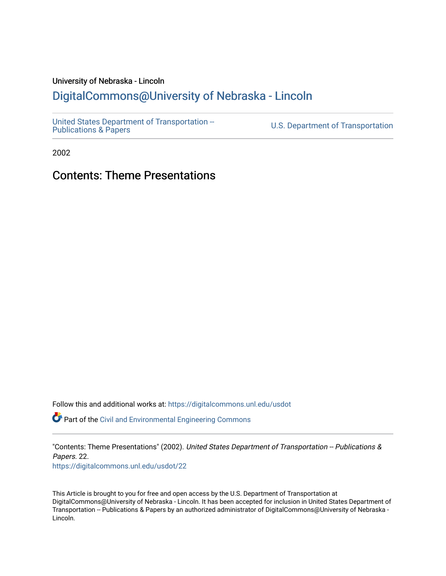## University of Nebraska - Lincoln

## [DigitalCommons@University of Nebraska - Lincoln](https://digitalcommons.unl.edu/)

[United States Department of Transportation --](https://digitalcommons.unl.edu/usdot)<br>Publications & Papers

U.S. Department of Transportation

2002

## Contents: Theme Presentations

Follow this and additional works at: [https://digitalcommons.unl.edu/usdot](https://digitalcommons.unl.edu/usdot?utm_source=digitalcommons.unl.edu%2Fusdot%2F22&utm_medium=PDF&utm_campaign=PDFCoverPages) 

Part of the [Civil and Environmental Engineering Commons](http://network.bepress.com/hgg/discipline/251?utm_source=digitalcommons.unl.edu%2Fusdot%2F22&utm_medium=PDF&utm_campaign=PDFCoverPages)

"Contents: Theme Presentations" (2002). United States Department of Transportation -- Publications & Papers. 22. [https://digitalcommons.unl.edu/usdot/22](https://digitalcommons.unl.edu/usdot/22?utm_source=digitalcommons.unl.edu%2Fusdot%2F22&utm_medium=PDF&utm_campaign=PDFCoverPages)

This Article is brought to you for free and open access by the U.S. Department of Transportation at DigitalCommons@University of Nebraska - Lincoln. It has been accepted for inclusion in United States Department of Transportation -- Publications & Papers by an authorized administrator of DigitalCommons@University of Nebraska - Lincoln.